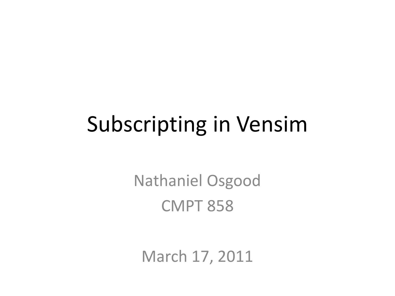## Subscripting in Vensim

Nathaniel Osgood CMPT 858

March 17, 2011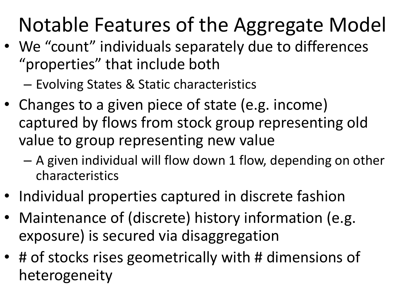## Notable Features of the Aggregate Model

- We "count" individuals separately due to differences "properties" that include both
	- Evolving States & Static characteristics
- Changes to a given piece of state (e.g. income) captured by flows from stock group representing old value to group representing new value
	- A given individual will flow down 1 flow, depending on other characteristics
- Individual properties captured in discrete fashion
- Maintenance of (discrete) history information (e.g. exposure) is secured via disaggregation
- # of stocks rises geometrically with # dimensions of heterogeneity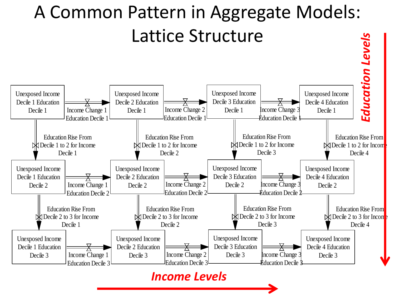

#### *Income Levels*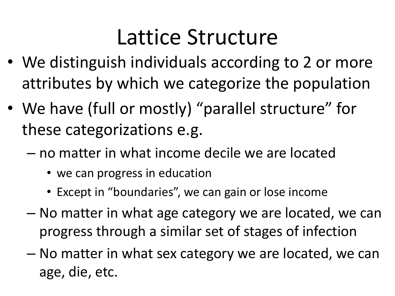### Lattice Structure

- We distinguish individuals according to 2 or more attributes by which we categorize the population
- We have (full or mostly) "parallel structure" for these categorizations e.g.
	- no matter in what income decile we are located
		- we can progress in education
		- Except in "boundaries", we can gain or lose income
	- No matter in what age category we are located, we can progress through a similar set of stages of infection
	- No matter in what sex category we are located, we can age, die, etc.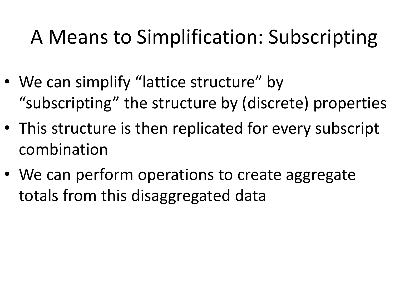#### A Means to Simplification: Subscripting

- We can simplify "lattice structure" by "subscripting" the structure by (discrete) properties
- This structure is then replicated for every subscript combination
- We can perform operations to create aggregate totals from this disaggregated data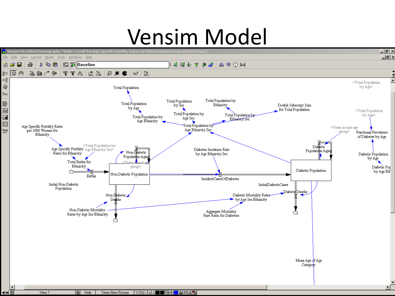# $\ensuremath{\mathsf{Vensim}: \mathsf{Stratified}\: \mathsf{Demographic\;Model\;}\mathsf{V}\text{-}\mathsf{Mod}}\mathsf{V}\text{-}\mathsf{Mod}\mathsf{V}\text{-}\mathsf{Mod}\mathsf{V}\text{-}\mathsf{Mod}\mathsf{V}\text{-}\mathsf{Mod}\mathsf{V}\text{-}\mathsf{Mod}\mathsf{S}}\mathsf{Specific Fectiulity\;Rate of for Ethnicity [AgeGroups], EtbnicGroups}] }$

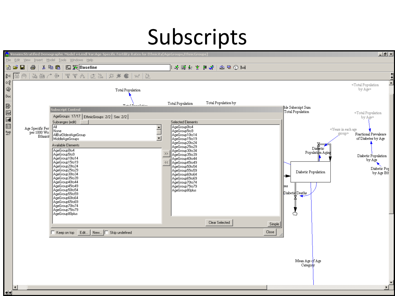#### Subscripts

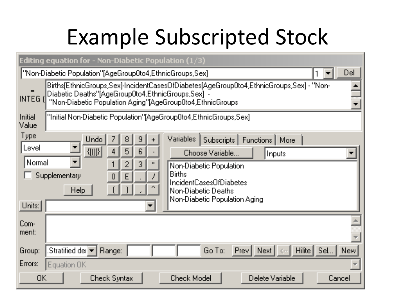## Example Subscripted Stock

|                                                                                                                                                                                                                                                                                                                          | Editing equation for - Non-Diabetic Population (1/3)                                                                                                                                                                                                                                                                                  |  |  |  |  |  |
|--------------------------------------------------------------------------------------------------------------------------------------------------------------------------------------------------------------------------------------------------------------------------------------------------------------------------|---------------------------------------------------------------------------------------------------------------------------------------------------------------------------------------------------------------------------------------------------------------------------------------------------------------------------------------|--|--|--|--|--|
|                                                                                                                                                                                                                                                                                                                          | Del<br>["Non-Diabetic Population"[AgeGroup0to4,EthnicGroups,Sex]                                                                                                                                                                                                                                                                      |  |  |  |  |  |
| Births[EthnicGroups,Sex]-IncidentCasesOfDiabetes[AgeGroup0to4,EthnicGroups,Sex] - "Non-<br>Diabetic Deaths"[AgeGroup0to4,EthnicGroups,Sex] -<br>INTEG <sub>I</sub><br>"Non-Diabetic Population Aging"[AgeGroup0to4,EthnicGroups]<br>"Initial Non-Diabetic Population"[AgeGroup0to4,EthnicGroups,Sex]<br>Initial<br>Value |                                                                                                                                                                                                                                                                                                                                       |  |  |  |  |  |
| Type<br>∣Level<br>Normal<br>Units:                                                                                                                                                                                                                                                                                       | Undo<br>Variables<br>Subscripts  <br>8<br>9<br>Functions  <br>More:<br>${f}([0])$<br>6<br>5<br>4<br>Choose Variable<br>Inputs<br>$\blacksquare$<br>3<br>Non-Diabetic Population<br><b>Births</b><br>Supplementary<br>IncidentCasesOfDiabetes<br><b>Help</b><br>Non-Diabetic Deaths<br>Non-Diabetic Population Aging<br>$\blacksquare$ |  |  |  |  |  |
| Com-<br>ment:<br>Group:                                                                                                                                                                                                                                                                                                  | Stratified del ▼<br>Go To:<br>Hilite <sup>[1]</sup><br>Sel<br><b>Prev</b><br>Next  <br><b>New</b><br>Range:                                                                                                                                                                                                                           |  |  |  |  |  |
| Errors:                                                                                                                                                                                                                                                                                                                  | Equation OK                                                                                                                                                                                                                                                                                                                           |  |  |  |  |  |
| ОK                                                                                                                                                                                                                                                                                                                       | <b>Check Model</b><br>Delete Variable<br><b>Check Syntax</b><br>Cancel                                                                                                                                                                                                                                                                |  |  |  |  |  |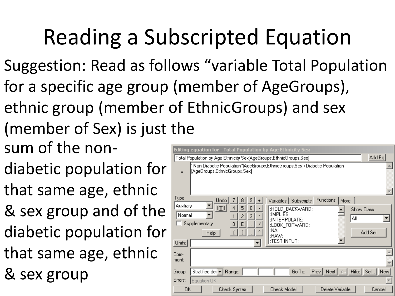## Reading a Subscripted Equation

- Suggestion: Read as follows "variable Total Population for a specific age group (member of AgeGroups), ethnic group (member of EthnicGroups) and sex (member of Sex) is just the
- sum of the non-
- diabetic population for
- that same age, ethnic
- & sex group and of the
- diabetic population for
- that same age, ethnic
- & sex group

| Editing equation for - Total Population by Age Ethnicity Sex                                                                                                                                                                                                                                                                |
|-----------------------------------------------------------------------------------------------------------------------------------------------------------------------------------------------------------------------------------------------------------------------------------------------------------------------------|
| Add Eq<br>Total Population by Age Ethnicity Sex[AgeGroups,EthnicGroups,Sex]                                                                                                                                                                                                                                                 |
| "Non-Diabetic Population"[AgeGroups,EthnicGroups,Sex]+Diabetic Population.<br>[AgeGroups,EthnicGroups,Sex]<br>$=$                                                                                                                                                                                                           |
| Type<br>Functions<br>Undo<br>Variables Subscripts<br>More<br>8<br>9<br>Auxiliary<br>${10}$<br>5<br>6<br>:HOLD_BACKWARD:<br><b>Show Class</b><br>:IMPLIES:<br>Normal<br>3<br>$\mathbf{x}$<br>2<br>Αll<br>:INTERPOLATE:<br>Supplementary<br>E<br>:LOOK FORWARD:<br>:NA:<br>Add Sel<br>Help<br>:RAW:<br>:TEST INPUT:<br>Units: |
| Com-<br>ment:<br>Hilite   Sel   New<br>Stratified der $\blacktriangledown$<br>$Prev$ Next $ \ll 1$<br>Go To:<br>Range:<br>Group:                                                                                                                                                                                            |
| Errors:<br>Equation OK<br>OK<br><b>Check Model</b><br>Delete Variable<br>Check Syntax<br>Cancel                                                                                                                                                                                                                             |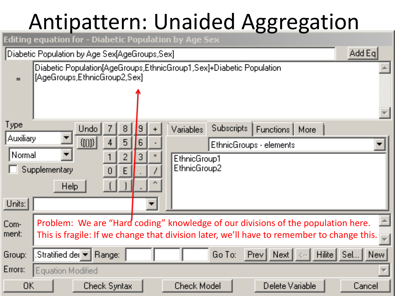## Antipattern: Unaided Aggregation

| Editing equation for - Diabetic Population by Age Sex |               |             |                                                                                                     |        |                  |                     |  |                                           |            |        |                                        |                 |        |                                                                                                                                                                               |
|-------------------------------------------------------|---------------|-------------|-----------------------------------------------------------------------------------------------------|--------|------------------|---------------------|--|-------------------------------------------|------------|--------|----------------------------------------|-----------------|--------|-------------------------------------------------------------------------------------------------------------------------------------------------------------------------------|
| Diabetic Population by Age Sex[AgeGroups,Sex]         |               |             |                                                                                                     |        |                  |                     |  |                                           |            |        |                                        |                 |        | Add Eq                                                                                                                                                                        |
|                                                       |               |             | Diabetic Population[AgeGroups,EthnicGroup1,Sex]+Diabetic Population<br>[AgeGroups,EthnicGroup2,Sex] |        |                  |                     |  |                                           |            |        |                                        |                 |        |                                                                                                                                                                               |
| Type<br>Auxiliary<br>Normal                           | Supplementary | <b>Help</b> | Undo<br>$\{[\![0]\!] \}$                                                                            | 4<br>0 | 8<br>5<br>2<br>E | $\overline{6}$<br>3 |  | Variables<br>EthnicGroup1<br>EthnicGroup2 | Subscripts |        | Functions  <br>EthnicGroups - elements | More            |        |                                                                                                                                                                               |
| Units:                                                |               |             |                                                                                                     |        |                  |                     |  |                                           |            |        |                                        |                 |        |                                                                                                                                                                               |
| Com-<br>ment:                                         |               |             |                                                                                                     |        |                  |                     |  |                                           |            |        |                                        |                 |        | Problem: We are "Hard coding" knowledge of our divisions of the population here.<br>This is fragile: If we change that division later, we'll have to remember to change this. |
| Group:                                                |               |             | .Stratified der $\blacktriangledown$   Range:                                                       |        |                  |                     |  |                                           | Go To:     | $Prev$ | Next                                   |                 | Hilite | Sel<br>New.                                                                                                                                                                   |
| Errors:                                               |               |             | <b>Equation Modified</b>                                                                            |        |                  |                     |  |                                           |            |        |                                        |                 |        |                                                                                                                                                                               |
| OΚ                                                    |               |             | Check Syntax                                                                                        |        |                  |                     |  | <b>Check Model</b>                        |            |        |                                        | Delete Variable |        | Cancel                                                                                                                                                                        |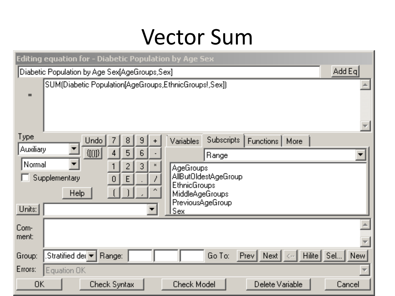#### Vector Sum

| Editing equation for - Diabetic Population by Age Sex                                                                                                                                        |             |
|----------------------------------------------------------------------------------------------------------------------------------------------------------------------------------------------|-------------|
| [Diabetic Population by Age Sex[AgeGroups,Sex]]                                                                                                                                              | Add Eq      |
| SUM(Diabetic Population[AgeGroups,EthnicGroups!,Sex])<br>$=$                                                                                                                                 |             |
| Type<br>Subscripts<br><b>Undo</b><br>9<br>7<br>Variables<br>Functions<br>8<br>More                                                                                                           |             |
| Auxiliary<br>$\{[[0]\}]$<br>6<br>5<br>4<br>Range                                                                                                                                             | ▼           |
| Normal<br>$\blacksquare$<br>3<br>2<br><b>AgeGroups</b><br>AllButOldestAgeGroup<br>Supplementary<br>$\overline{0}$<br>E<br><b>EthnicGroups</b><br>Help<br>MiddleAgeGroups<br>PreviousAgeGroup |             |
| Units:<br>Sex                                                                                                                                                                                |             |
| Com-<br>ment:                                                                                                                                                                                |             |
| .Stratified der $\llbracket \blacktriangledown \rrbracket$<br>Hilite<br>Prev  <br>Next<br>Range:<br>Go To:<br>Group:<br>$\zeta-$                                                             | Sel<br>New: |
| Errors:<br>Equation OK                                                                                                                                                                       |             |
| 0K<br><b>Check Model</b><br>Delete Variable<br><b>Check Syntax</b>                                                                                                                           | Cancel      |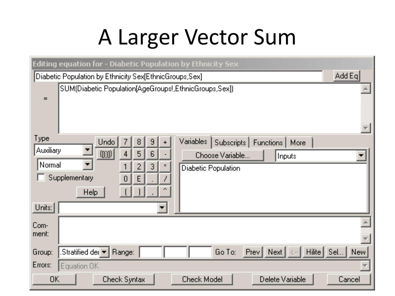## A Larger Vector Sum

| <b>Editing equation for - Diabetic Population by Ethnicity Sex</b>                                                                                                                                                                                                                                                 |                         |  |  |  |  |  |
|--------------------------------------------------------------------------------------------------------------------------------------------------------------------------------------------------------------------------------------------------------------------------------------------------------------------|-------------------------|--|--|--|--|--|
| Add Eq $\vert$<br>Diabetic Population by Ethnicity Sex[EthnicGroups,Sex].                                                                                                                                                                                                                                          |                         |  |  |  |  |  |
| [SUM[Diabetic Population[AgeGroups!,EthnicGroups,Sex]]<br>$=$                                                                                                                                                                                                                                                      |                         |  |  |  |  |  |
| Type<br>Variables<br><b>Undo</b><br>Subscripts<br>8<br>9<br>Functions   More<br>7<br>Auxiliary<br>${[0]}$<br>$\overline{6}$<br>5<br>4<br>Choose Variable<br>Inputs<br>Normal<br>$\blacktriangledown$<br>3<br>2<br>$\mathcal{N}$<br><b>Diabetic Population</b><br>Supplementary<br>E<br>0<br>$\sim$ $\sim$<br>Help. |                         |  |  |  |  |  |
| Units:<br>$\blacksquare$                                                                                                                                                                                                                                                                                           |                         |  |  |  |  |  |
| Com-<br>ment:                                                                                                                                                                                                                                                                                                      |                         |  |  |  |  |  |
| Go To:<br>Hilite<br>.Stratified der $ \star $<br>Prev<br>Next<br>Range:<br>Group:<br>$\zeta$ - -                                                                                                                                                                                                                   | Sel<br>New <sup>1</sup> |  |  |  |  |  |
| Errors:<br>Equation OK                                                                                                                                                                                                                                                                                             |                         |  |  |  |  |  |
| <b>Check Model</b><br>Delete Variable<br>0K<br><b>Check Syntax</b>                                                                                                                                                                                                                                                 | Cancel                  |  |  |  |  |  |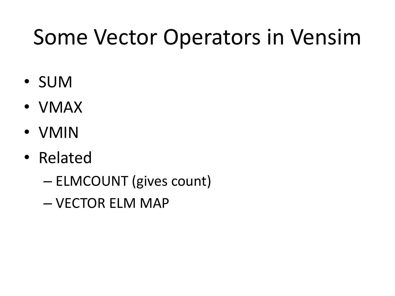## Some Vector Operators in Vensim

- SUM
- VMAX
- VMIN
- Related
	- ELMCOUNT (gives count)
	- VECTOR ELM MAP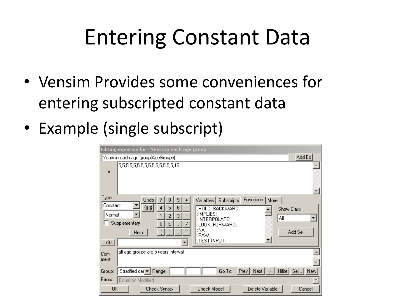## Entering Constant Data

- Vensim Provides some conveniences for entering subscripted constant data
- Example (single subscript)

| Editing equation for - Years in each age group                                                                                                                                                                                                                                                                         |  |  |  |  |  |  |  |
|------------------------------------------------------------------------------------------------------------------------------------------------------------------------------------------------------------------------------------------------------------------------------------------------------------------------|--|--|--|--|--|--|--|
| Add Eq<br>Years in each age group[AgeGroups]                                                                                                                                                                                                                                                                           |  |  |  |  |  |  |  |
| 5,5,5,5,5,5,5,5,5,5,5,5,5,15<br>$=$                                                                                                                                                                                                                                                                                    |  |  |  |  |  |  |  |
| Type<br><b>Functions</b><br>Undo<br>Variables Subscripts<br>More<br>8<br>9<br>Constant<br>${10}$<br>6<br>5<br>:HOLD_BACKWARD:<br><b>Show Class</b><br>:IMPLIES:<br>Normal<br>3<br>2<br>×<br>Αll<br>:INTERPOLATE:<br>Supplementary<br>E<br>:LOOK_FORWARD:<br>:NA:<br>Add Sel<br>Help<br>:RAW:<br>:TEST INPUT:<br>Units: |  |  |  |  |  |  |  |
| all age groups are 5 years interval<br>Com-<br>ment:                                                                                                                                                                                                                                                                   |  |  |  |  |  |  |  |
| Prev   Next   <-   Hilite   Sel   New<br>Stratified dei ▼ Range:<br>Go To:<br>Group:                                                                                                                                                                                                                                   |  |  |  |  |  |  |  |
| Errors:<br>Equation Modified                                                                                                                                                                                                                                                                                           |  |  |  |  |  |  |  |
| 0K<br><b>Check Model</b><br>Delete Variable<br>Check Syntax<br>Cancel                                                                                                                                                                                                                                                  |  |  |  |  |  |  |  |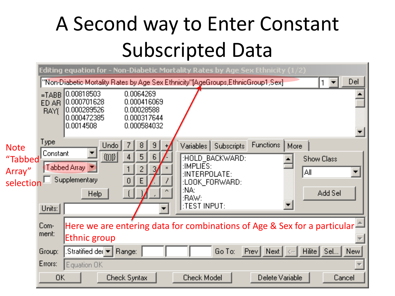### A Second way to Enter Constant Subscripted Data

|             |                                                                                           |                                                                        |                                                                      | Editing equation for - Non-Diabetic Mortality Rates by Age Sex Ethnicity (1/2)   |                          |                       |  |  |  |  |
|-------------|-------------------------------------------------------------------------------------------|------------------------------------------------------------------------|----------------------------------------------------------------------|----------------------------------------------------------------------------------|--------------------------|-----------------------|--|--|--|--|
|             |                                                                                           |                                                                        |                                                                      | "Non-Diabetic Mortality Rates by Age Sex Ethnicity"[AgeGroups,EthnicGroup1,Sex]- |                          | Del                   |  |  |  |  |
|             | $=TABB$<br>ED AR I<br><b>RAYI</b>                                                         | [0.00818503]<br>0.000701628<br>0.000289526<br>0.000472385<br>0.0014508 | 0.0064269<br>0.000416069<br>0.00028588<br>0.000317644<br>0.000584032 |                                                                                  |                          |                       |  |  |  |  |
| <b>Note</b> | Type:                                                                                     | <b>Undo</b>                                                            | 8,<br>9                                                              | <b>Subscripts</b><br>Variables                                                   | Functions<br>More:       |                       |  |  |  |  |
| "Tabbed     | Constant                                                                                  | ${10}$                                                                 | 5.<br>6                                                              | :HOLD_BACKWARD:<br>:IMPLIES:                                                     |                          | <b>Show Class</b>     |  |  |  |  |
| Array"      | Tabbed Array<br>2<br>3<br>A<br>:INTERPOLATE:                                              |                                                                        |                                                                      |                                                                                  |                          |                       |  |  |  |  |
| selection   | Supplementary<br>E<br>:LOOK FORWARD:<br>NA.<br>$\sim$                                     |                                                                        |                                                                      |                                                                                  |                          |                       |  |  |  |  |
|             |                                                                                           | Help.                                                                  |                                                                      | Add Sel                                                                          |                          |                       |  |  |  |  |
|             | Units:                                                                                    |                                                                        |                                                                      | :TEST INPUT:                                                                     |                          |                       |  |  |  |  |
|             | Here we are entering data for combinations of Age & Sex for a particular<br>Com-<br>ment: |                                                                        |                                                                      |                                                                                  |                          |                       |  |  |  |  |
|             |                                                                                           | Ethnic group                                                           |                                                                      |                                                                                  |                          |                       |  |  |  |  |
|             | Group:                                                                                    | Stratified der $ \mathbf{v} $                                          | Range:                                                               | Go To:                                                                           | $Prev$ Next $\mathbb{R}$ | Hilite<br>Sel<br>New! |  |  |  |  |
|             | Errors:                                                                                   | Equation OK                                                            |                                                                      |                                                                                  |                          |                       |  |  |  |  |
|             | OK.                                                                                       |                                                                        | Check Syntax                                                         | <b>Check Model</b>                                                               | Delete Variable          | Cancel                |  |  |  |  |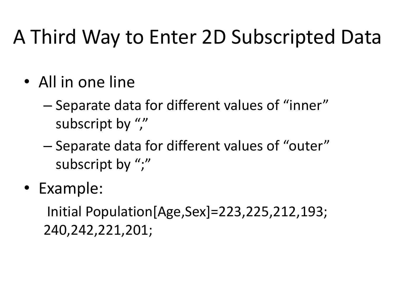#### A Third Way to Enter 2D Subscripted Data

- All in one line
	- Separate data for different values of "inner" subscript by ","
	- Separate data for different values of "outer" subscript by ";"
- Example:

Initial Population[Age,Sex]=223,225,212,193; 240,242,221,201;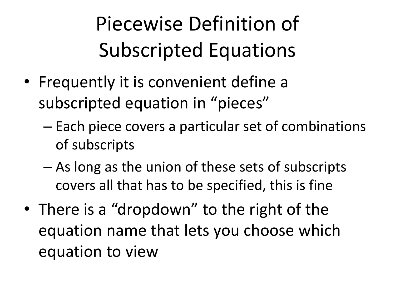Piecewise Definition of Subscripted Equations

- Frequently it is convenient define a subscripted equation in "pieces"
	- Each piece covers a particular set of combinations of subscripts
	- As long as the union of these sets of subscripts covers all that has to be specified, this is fine
- There is a "dropdown" to the right of the equation name that lets you choose which equation to view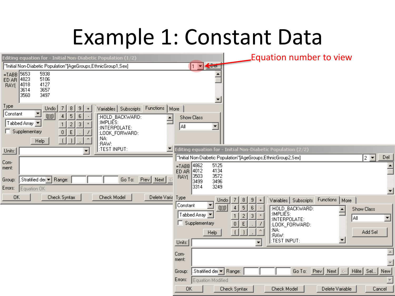### Example 1: Constant Data

| Editing equation for - Initial Non-Diabetic Population $(1/2)$                                                                                                                                                                                                                                                                                               | Equation number to view                                                                                                                                                                                                                                                                                                                                                                                                                                                                                                                                                   |     |
|--------------------------------------------------------------------------------------------------------------------------------------------------------------------------------------------------------------------------------------------------------------------------------------------------------------------------------------------------------------|---------------------------------------------------------------------------------------------------------------------------------------------------------------------------------------------------------------------------------------------------------------------------------------------------------------------------------------------------------------------------------------------------------------------------------------------------------------------------------------------------------------------------------------------------------------------------|-----|
| "Initial Non-Diabetic Population"[AgeGroups,EthnicGroup1,Sex]                                                                                                                                                                                                                                                                                                | $\bigtriangleup$<br>$ 1 \nabla $                                                                                                                                                                                                                                                                                                                                                                                                                                                                                                                                          |     |
| 5653<br>5938<br>$= T AB B$<br>5106<br>ED AR 4823<br>4127<br><b>BAY</b><br>4018<br>3614<br>3657<br>3560<br>3497                                                                                                                                                                                                                                               | ▼                                                                                                                                                                                                                                                                                                                                                                                                                                                                                                                                                                         |     |
| Type<br>Functions   More<br>Undo<br>Variables Subscripts<br>8<br>9<br>$\blacktriangledown$<br>Constant<br>${10}$<br>5<br>6<br>:HOLD_BACKWARD:<br>:IMPLIES:<br>Tabbed Array ▼<br>$\overline{c}$<br>3<br>:INTERPOLATE:<br>Supplementary<br>$\mathbf 0$<br>E<br>:LOOK_FORWARD:<br>:NA:<br>$\lceil$<br>$\overline{\phantom{a}}$<br>Help<br>:RAW:<br>:TEST INPUT: | Show Class<br>∥A⊪<br>$\blacktriangledown$                                                                                                                                                                                                                                                                                                                                                                                                                                                                                                                                 |     |
| Units:<br>▾                                                                                                                                                                                                                                                                                                                                                  | Editing equation for - Initial Non-Diabetic Population (2/2)<br>"Initial Non-Diabetic Population"[AgeGroups,EthnicGroup2,Sex]<br>$2$ $\blacktriangledown$                                                                                                                                                                                                                                                                                                                                                                                                                 | Del |
| Com-<br>ment:<br>Stratified der <a>Range:<br/>Prev   Next  <br/>Go To:<br/>Group:<br/>Equation OK<br/>Errors:<br/>0K<br/>Check Syntax<br/>Check Model<br/>Delete Varia</a>                                                                                                                                                                                   | 5125<br>$=TABB$ 4862<br>4134<br>4012<br>ED AR<br>3572<br>3503<br>RAY(<br>3499<br>3496<br>3314<br>3249<br>Type<br>Variables   Subscripts<br>Functions   More<br>Undo<br>9<br>$\ddot{\phantom{1}}$<br>$\blacktriangledown$<br>Constant<br>$\{100\}$<br>5<br>6<br>4<br>:HOLD_BACKWARD:<br>Show Class<br>:IMPLIES:<br>Tabbed Array ▼<br>$\overline{c}$<br>3<br>$\,$ $\times$<br>$\mathbf{1}$<br>All<br>:INTERPOLATE:<br>Supplementary<br>$\,0\,$<br>E<br>:LOOK_FORWARD:<br>:NA:<br>$\lceil$<br>Add Sel<br>Help<br>:RAW:<br>:TEST INPUT:<br>$\overline{\phantom{0}}$<br>Units: |     |
|                                                                                                                                                                                                                                                                                                                                                              | Com-<br>ment:<br>Stratified der Range:<br>$\begin{bmatrix} \text{Prev} & \text{Next} \end{bmatrix} \leftarrow \begin{bmatrix} \text{Hilite} & \text{Sel} \end{bmatrix}$<br>Go To:<br>Group:<br>Errors:<br>Equation Modified<br><b>OK</b><br>Delete Variable<br>Check Syntax<br>Check Model<br>Cancel                                                                                                                                                                                                                                                                      | New |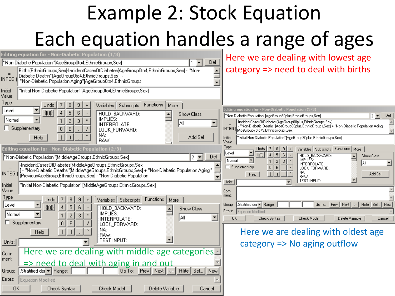## Example 2: Stock Equation Each equation handles a range of ages

| Editing equation for - Non-Diabetic Population (1/3)                                                                                                                                                                                                                                                                      | Here we are dealing with lowest age                                                                                                                                                                                                                                 |
|---------------------------------------------------------------------------------------------------------------------------------------------------------------------------------------------------------------------------------------------------------------------------------------------------------------------------|---------------------------------------------------------------------------------------------------------------------------------------------------------------------------------------------------------------------------------------------------------------------|
| Del<br>Won-Diabetic Population"[AgeGroup0to4,EthnicGroups,Sex]"                                                                                                                                                                                                                                                           |                                                                                                                                                                                                                                                                     |
| [Births[EthnicGroups,Sex]-IncidentCases0fDiabetes[AgeGroup0to4,EthnicGroups,Sex] - "Non-<br>Diabetic Deaths"[AgeGroup0to4,EthnicGroups,Sex]<br>INTEG (<br>"Non-Diabetic Population Aging"[AgeGroup0to4,EthnicGroups                                                                                                       | category => need to deal with births                                                                                                                                                                                                                                |
| "Initial Non-Diabetic Population"[AgeGroup0to4,EthnicGroups,Sex]<br>Initial<br>Value                                                                                                                                                                                                                                      |                                                                                                                                                                                                                                                                     |
| Type<br>Variables Subscripts<br>Functions   More<br>Undo                                                                                                                                                                                                                                                                  |                                                                                                                                                                                                                                                                     |
| Level<br>${10}$<br>5<br>6<br>:HOLD BACKWARD:<br>Show Class                                                                                                                                                                                                                                                                | :diting equation for - Non-Diabetic Population (3/3)<br>"Non-Diabetic Population"[AgeGroup80plus,EthnicGroups,Sex]<br>$3 -$<br>Del                                                                                                                                  |
| :IMPLIES:<br>Normal<br>$\mathbf{x}$<br>2<br>З<br> A∥<br>:INTERPOLATE:<br>Supplementary<br>$\mathbf{0}$<br>E<br>:LOOK_FORWARD:                                                                                                                                                                                             | -IncidentCasesOfDiabetes[AgeGroup80plus,EthnicGroups,Sex]<br>- "Non-Diabetic Deaths"[AgeGroup80plus,EthnicGroups,Sex] + "Non-Diabetic Population Aging"<br>INTEG (AgeGroup75to79,EthnicGroups,Sex)                                                                  |
| :NA:<br>Add Sel<br>Help<br>:RAW:                                                                                                                                                                                                                                                                                          | "Initial Non-Diabetic Population"[AgeGroup80plus,EthnicGroups,Sex]<br>Initial<br>Value                                                                                                                                                                              |
| Editing equation for - Non-Diabetic Population (2/3)                                                                                                                                                                                                                                                                      | Type<br>Variables Subscripts Functions   More<br>Undo                                                                                                                                                                                                               |
| ["Non-Diabetic Population"[MiddleAgeGroups,EthnicGroups,Sex]]<br>Del<br>$2 -$<br>-IncidentCasesOfDiabetes[MiddleAgeGroups,EthnicGroups,Sex-<br>- "Non-Diabetic Deaths"[MiddleAgeGroups,EthnicGroups,Sex] + "Non-Diabetic Population Aging"<br>INTEG (I<br>[PreviousAgeGroup,EthnicGroups,Sex] - ''Non-Diabetic Population | 회<br>Level<br>${f(0)}$<br>5<br>6<br>:HOLD BACKWARD:<br><b>Show Class</b><br>$\blacktriangledown$<br>:IMPLIES:<br>Normal<br>2 <br>3<br>lA⊪<br>:INTERPOLATE:<br>Supplementary<br> 0 <br>$\mathsf E$<br>:LOOK_FORWARD:<br>:NA:<br>$\lceil$<br>Add Sel<br>Help<br>:RAW: |
| "Initial Non-Diabetic Population"[MiddleAgeGroups,EthnicGroups,Sex]<br>Initial<br>Value                                                                                                                                                                                                                                   | :TEST INPUT:<br>Units:<br>Com-                                                                                                                                                                                                                                      |
| Type<br>Variables Subscripts<br>Functions   More<br>Undo<br>Level<br>${10}$<br>5.<br>6<br>:HOLD_BACKWARD:<br><b>Show Class</b><br>:IMPLIES:<br> Normal<br>$\mathbf{x}$<br>2<br>3<br>∥A⊪<br>:INTERPOLATE:<br>Supplementary<br>E                                                                                            | ment:<br>Stratified der M Range:<br>Go To: Prev   Next  <br>Hilite   Sel   New<br>Group:<br>Errors:<br>Equation Modified<br>0K<br>Check Syntax<br>Check Model<br>Delete Variable<br>Cancel                                                                          |
| $\mathbf 0$<br>:LOOK_FORWARD:<br>:NA:<br><b>Help</b><br>:RAW:<br>:TEST INPUT:<br>Units:                                                                                                                                                                                                                                   | Here we are dealing with oldest age<br>category $\Rightarrow$ No aging outflow                                                                                                                                                                                      |
| Here we are dealing with middle age categories<br>Com-<br>ment:<br>$\Rightarrow$ need to deal with aging in and out                                                                                                                                                                                                       |                                                                                                                                                                                                                                                                     |
| Stratified der Mange:<br>Prev   Next   <-   Hilite   Sel   New<br>Go To:<br>Group:                                                                                                                                                                                                                                        |                                                                                                                                                                                                                                                                     |
| Errors:<br>Equation Modified                                                                                                                                                                                                                                                                                              |                                                                                                                                                                                                                                                                     |
| <b>OK</b><br>Check Model<br>Delete Variable<br>Check Syntax<br>Cancel                                                                                                                                                                                                                                                     |                                                                                                                                                                                                                                                                     |